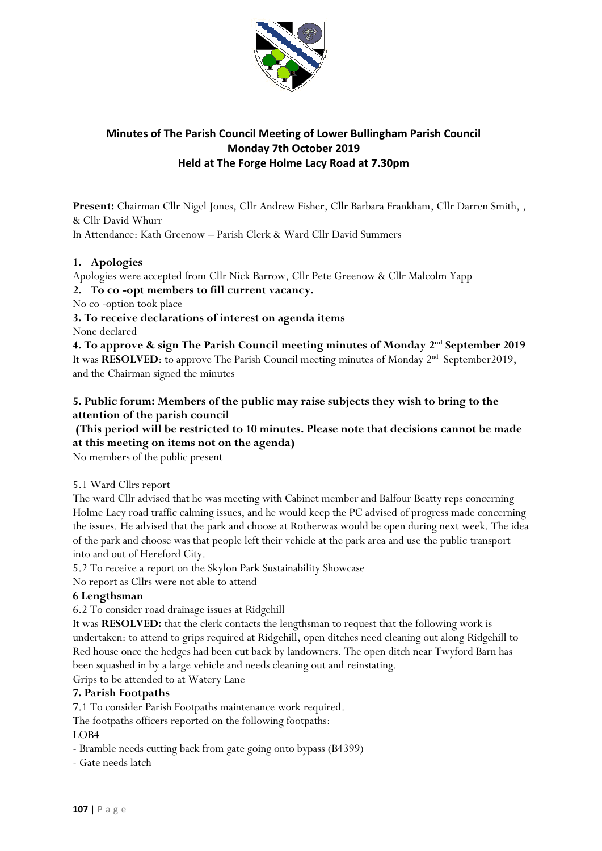

# **Minutes of The Parish Council Meeting of Lower Bullingham Parish Council Monday 7th October 2019 Held at The Forge Holme Lacy Road at 7.30pm**

**Present:** Chairman Cllr Nigel Jones, Cllr Andrew Fisher, Cllr Barbara Frankham, Cllr Darren Smith, , & Cllr David Whurr

In Attendance: Kath Greenow – Parish Clerk & Ward Cllr David Summers

## **1. Apologies**

Apologies were accepted from Cllr Nick Barrow, Cllr Pete Greenow & Cllr Malcolm Yapp

#### **2. To co -opt members to fill current vacancy.**

No co -option took place

**3. To receive declarations of interest on agenda items** None declared

**4. To approve & sign The Parish Council meeting minutes of Monday 2 nd September 2019**  It was RESOLVED: to approve The Parish Council meeting minutes of Monday 2<sup>nd</sup> September2019, and the Chairman signed the minutes

## **5. Public forum: Members of the public may raise subjects they wish to bring to the attention of the parish council**

## **(This period will be restricted to 10 minutes. Please note that decisions cannot be made at this meeting on items not on the agenda)**

No members of the public present

#### 5.1 Ward Cllrs report

The ward Cllr advised that he was meeting with Cabinet member and Balfour Beatty reps concerning Holme Lacy road traffic calming issues, and he would keep the PC advised of progress made concerning the issues. He advised that the park and choose at Rotherwas would be open during next week. The idea of the park and choose was that people left their vehicle at the park area and use the public transport into and out of Hereford City.

5.2 To receive a report on the Skylon Park Sustainability Showcase

No report as Cllrs were not able to attend

#### **6 Lengthsman**

6.2 To consider road drainage issues at Ridgehill

It was **RESOLVED:** that the clerk contacts the lengthsman to request that the following work is undertaken: to attend to grips required at Ridgehill, open ditches need cleaning out along Ridgehill to Red house once the hedges had been cut back by landowners. The open ditch near Twyford Barn has been squashed in by a large vehicle and needs cleaning out and reinstating.

Grips to be attended to at Watery Lane

#### **7. Parish Footpaths**

7.1 To consider Parish Footpaths maintenance work required.

The footpaths officers reported on the following footpaths:

LOB4

- Bramble needs cutting back from gate going onto bypass (B4399)
- Gate needs latch